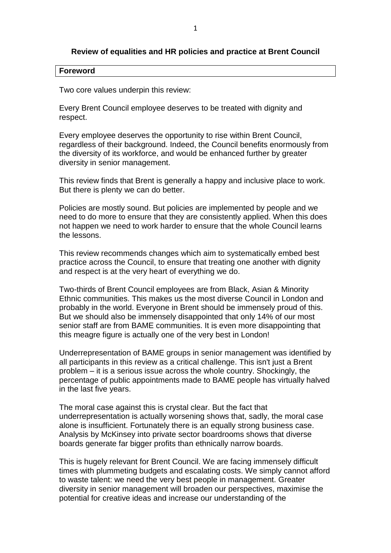### **Review of equalities and HR policies and practice at Brent Council**

#### **Foreword**

Two core values underpin this review:

Every Brent Council employee deserves to be treated with dignity and respect.

Every employee deserves the opportunity to rise within Brent Council, regardless of their background. Indeed, the Council benefits enormously from the diversity of its workforce, and would be enhanced further by greater diversity in senior management.

This review finds that Brent is generally a happy and inclusive place to work. But there is plenty we can do better.

Policies are mostly sound. But policies are implemented by people and we need to do more to ensure that they are consistently applied. When this does not happen we need to work harder to ensure that the whole Council learns the lessons.

This review recommends changes which aim to systematically embed best practice across the Council, to ensure that treating one another with dignity and respect is at the very heart of everything we do.

Two-thirds of Brent Council employees are from Black, Asian & Minority Ethnic communities. This makes us the most diverse Council in London and probably in the world. Everyone in Brent should be immensely proud of this. But we should also be immensely disappointed that only 14% of our most senior staff are from BAME communities. It is even more disappointing that this meagre figure is actually one of the very best in London!

Underrepresentation of BAME groups in senior management was identified by all participants in this review as a critical challenge. This isn't just a Brent problem – it is a serious issue across the whole country. Shockingly, the percentage of public appointments made to BAME people has virtually halved in the last five years.

The moral case against this is crystal clear. But the fact that underrepresentation is actually worsening shows that, sadly, the moral case alone is insufficient. Fortunately there is an equally strong business case. Analysis by McKinsey into private sector boardrooms shows that diverse boards generate far bigger profits than ethnically narrow boards.

This is hugely relevant for Brent Council. We are facing immensely difficult times with plummeting budgets and escalating costs. We simply cannot afford to waste talent: we need the very best people in management. Greater diversity in senior management will broaden our perspectives, maximise the potential for creative ideas and increase our understanding of the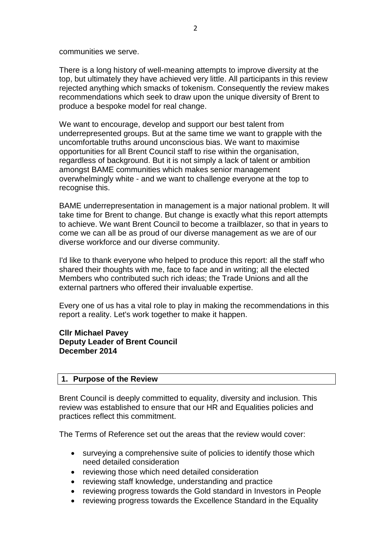communities we serve.

There is a long history of well-meaning attempts to improve diversity at the top, but ultimately they have achieved very little. All participants in this review rejected anything which smacks of tokenism. Consequently the review makes recommendations which seek to draw upon the unique diversity of Brent to produce a bespoke model for real change.

We want to encourage, develop and support our best talent from underrepresented groups. But at the same time we want to grapple with the uncomfortable truths around unconscious bias. We want to maximise opportunities for all Brent Council staff to rise within the organisation, regardless of background. But it is not simply a lack of talent or ambition amongst BAME communities which makes senior management overwhelmingly white - and we want to challenge everyone at the top to recognise this.

BAME underrepresentation in management is a major national problem. It will take time for Brent to change. But change is exactly what this report attempts to achieve. We want Brent Council to become a trailblazer, so that in years to come we can all be as proud of our diverse management as we are of our diverse workforce and our diverse community.

I'd like to thank everyone who helped to produce this report: all the staff who shared their thoughts with me, face to face and in writing; all the elected Members who contributed such rich ideas; the Trade Unions and all the external partners who offered their invaluable expertise.

Every one of us has a vital role to play in making the recommendations in this report a reality. Let's work together to make it happen.

**Cllr Michael Pavey Deputy Leader of Brent Council December 2014**

#### **1. Purpose of the Review**

Brent Council is deeply committed to equality, diversity and inclusion. This review was established to ensure that our HR and Equalities policies and practices reflect this commitment.

The Terms of Reference set out the areas that the review would cover:

- surveying a comprehensive suite of policies to identify those which need detailed consideration
- reviewing those which need detailed consideration
- reviewing staff knowledge, understanding and practice
- reviewing progress towards the Gold standard in Investors in People
- reviewing progress towards the Excellence Standard in the Equality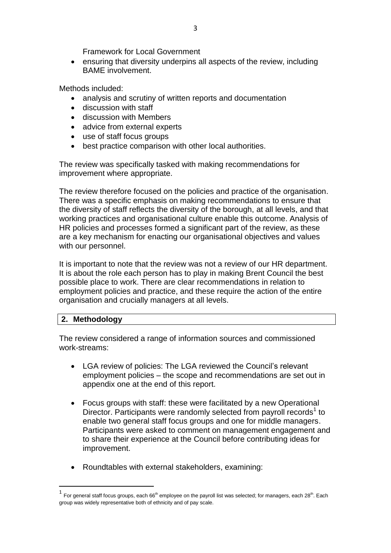Framework for Local Government

 ensuring that diversity underpins all aspects of the review, including BAME involvement.

Methods included:

- analysis and scrutiny of written reports and documentation
- discussion with staff
- discussion with Members
- advice from external experts
- use of staff focus groups
- best practice comparison with other local authorities.

The review was specifically tasked with making recommendations for improvement where appropriate.

The review therefore focused on the policies and practice of the organisation. There was a specific emphasis on making recommendations to ensure that the diversity of staff reflects the diversity of the borough, at all levels, and that working practices and organisational culture enable this outcome. Analysis of HR policies and processes formed a significant part of the review, as these are a key mechanism for enacting our organisational objectives and values with our personnel.

It is important to note that the review was not a review of our HR department. It is about the role each person has to play in making Brent Council the best possible place to work. There are clear recommendations in relation to employment policies and practice, and these require the action of the entire organisation and crucially managers at all levels.

## **2. Methodology**

l

The review considered a range of information sources and commissioned work-streams:

- LGA review of policies: The LGA reviewed the Council's relevant employment policies – the scope and recommendations are set out in appendix one at the end of this report.
- Focus groups with staff: these were facilitated by a new Operational Director. Participants were randomly selected from payroll records<sup>1</sup> to enable two general staff focus groups and one for middle managers. Participants were asked to comment on management engagement and to share their experience at the Council before contributing ideas for improvement.
- Roundtables with external stakeholders, examining:

 $^1\,$  For general staff focus groups, each 66 $^{\rm th}$  employee on the payroll list was selected; for managers, each 28 $^{\rm th}$ . Each group was widely representative both of ethnicity and of pay scale.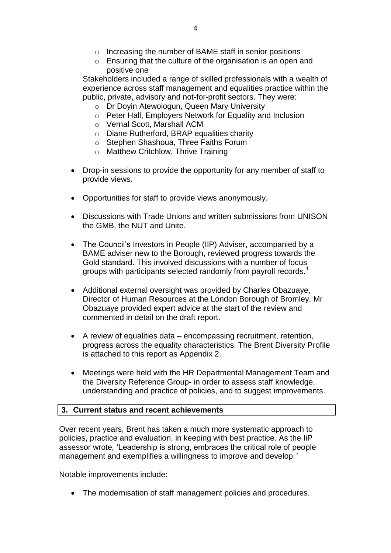- o Increasing the number of BAME staff in senior positions
- o Ensuring that the culture of the organisation is an open and positive one

Stakeholders included a range of skilled professionals with a wealth of experience across staff management and equalities practice within the public, private, advisory and not-for-profit sectors. They were:

- o Dr Doyin Atewologun, Queen Mary University
- o Peter Hall, Employers Network for Equality and Inclusion
- o Vernal Scott, Marshall ACM
- o Diane Rutherford, BRAP equalities charity
- o Stephen Shashoua, Three Faiths Forum
- o Matthew Critchlow, Thrive Training
- Drop-in sessions to provide the opportunity for any member of staff to provide views.
- Opportunities for staff to provide views anonymously.
- Discussions with Trade Unions and written submissions from UNISON the GMB, the NUT and Unite.
- The Council's Investors in People (IIP) Adviser, accompanied by a BAME adviser new to the Borough, reviewed progress towards the Gold standard. This involved discussions with a number of focus groups with participants selected randomly from payroll records.<sup>1</sup>
- Additional external oversight was provided by Charles Obazuaye, Director of Human Resources at the London Borough of Bromley. Mr Obazuaye provided expert advice at the start of the review and commented in detail on the draft report.
- A review of equalities data encompassing recruitment, retention, progress across the equality characteristics. The Brent Diversity Profile is attached to this report as Appendix 2.
- Meetings were held with the HR Departmental Management Team and the Diversity Reference Group- in order to assess staff knowledge, understanding and practice of policies, and to suggest improvements.

#### **3. Current status and recent achievements**

Over recent years, Brent has taken a much more systematic approach to policies, practice and evaluation, in keeping with best practice. As the IiP assessor wrote*,* 'Leadership is strong, embraces the critical role of people management and exemplifies a willingness to improve and develop.*'*

Notable improvements include:

• The modernisation of staff management policies and procedures.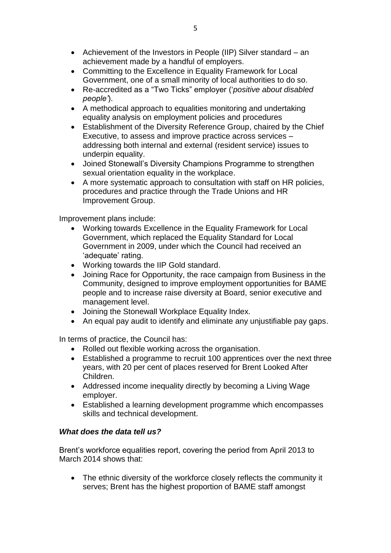- Achievement of the Investors in People (IIP) Silver standard an achievement made by a handful of employers.
- Committing to the Excellence in Equality Framework for Local Government, one of a small minority of local authorities to do so.
- Re-accredited as a "Two Ticks" employer ('*positive about disabled people'*).
- A methodical approach to equalities monitoring and undertaking equality analysis on employment policies and procedures
- Establishment of the Diversity Reference Group, chaired by the Chief Executive, to assess and improve practice across services – addressing both internal and external (resident service) issues to underpin equality.
- Joined Stonewall's Diversity Champions Programme to strengthen sexual orientation equality in the workplace.
- A more systematic approach to consultation with staff on HR policies, procedures and practice through the Trade Unions and HR Improvement Group.

Improvement plans include:

- Working towards Excellence in the Equality Framework for Local Government, which replaced the Equality Standard for Local Government in 2009, under which the Council had received an 'adequate' rating.
- Working towards the IIP Gold standard.
- Joining Race for Opportunity, the race campaign from Business in the Community, designed to improve employment opportunities for BAME people and to increase raise diversity at Board, senior executive and management level.
- Joining the Stonewall Workplace Equality Index.
- An equal pay audit to identify and eliminate any unjustifiable pay gaps.

In terms of practice, the Council has:

- Rolled out flexible working across the organisation.
- Established a programme to recruit 100 apprentices over the next three years, with 20 per cent of places reserved for Brent Looked After Children.
- Addressed income inequality directly by becoming a Living Wage employer.
- Established a learning development programme which encompasses skills and technical development.

## *What does the data tell us?*

Brent's workforce equalities report, covering the period from April 2013 to March 2014 shows that:

• The ethnic diversity of the workforce closely reflects the community it serves; Brent has the highest proportion of BAME staff amongst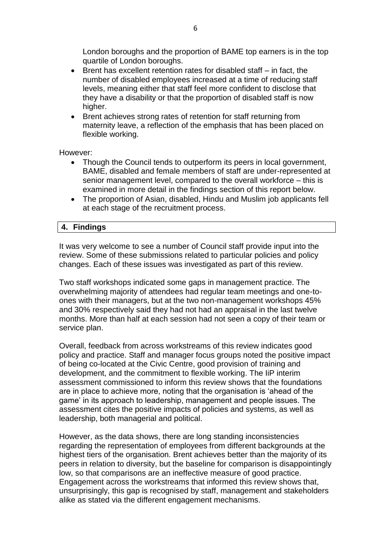London boroughs and the proportion of BAME top earners is in the top quartile of London boroughs.

- $\bullet$  Brent has excellent retention rates for disabled staff  $-$  in fact, the number of disabled employees increased at a time of reducing staff levels, meaning either that staff feel more confident to disclose that they have a disability or that the proportion of disabled staff is now higher.
- Brent achieves strong rates of retention for staff returning from maternity leave, a reflection of the emphasis that has been placed on flexible working.

However:

- Though the Council tends to outperform its peers in local government, BAME, disabled and female members of staff are under-represented at senior management level, compared to the overall workforce – this is examined in more detail in the findings section of this report below.
- The proportion of Asian, disabled, Hindu and Muslim job applicants fell at each stage of the recruitment process.

#### **4. Findings**

It was very welcome to see a number of Council staff provide input into the review. Some of these submissions related to particular policies and policy changes. Each of these issues was investigated as part of this review.

Two staff workshops indicated some gaps in management practice. The overwhelming majority of attendees had regular team meetings and one-toones with their managers, but at the two non-management workshops 45% and 30% respectively said they had not had an appraisal in the last twelve months. More than half at each session had not seen a copy of their team or service plan.

Overall, feedback from across workstreams of this review indicates good policy and practice. Staff and manager focus groups noted the positive impact of being co-located at the Civic Centre, good provision of training and development, and the commitment to flexible working. The IiP interim assessment commissioned to inform this review shows that the foundations are in place to achieve more, noting that the organisation is 'ahead of the game' in its approach to leadership, management and people issues. The assessment cites the positive impacts of policies and systems, as well as leadership, both managerial and political.

However, as the data shows, there are long standing inconsistencies regarding the representation of employees from different backgrounds at the highest tiers of the organisation. Brent achieves better than the majority of its peers in relation to diversity, but the baseline for comparison is disappointingly low, so that comparisons are an ineffective measure of good practice. Engagement across the workstreams that informed this review shows that, unsurprisingly, this gap is recognised by staff, management and stakeholders alike as stated via the different engagement mechanisms.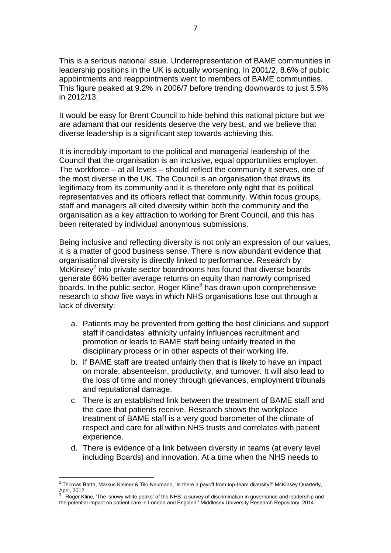This is a serious national issue. Underrepresentation of BAME communities in leadership positions in the UK is actually worsening. In 2001/2, 8.6% of public appointments and reappointments went to members of BAME communities. This figure peaked at 9.2% in 2006/7 before trending downwards to just 5.5% in 2012/13.

It would be easy for Brent Council to hide behind this national picture but we are adamant that our residents deserve the very best, and we believe that diverse leadership is a significant step towards achieving this.

It is incredibly important to the political and managerial leadership of the Council that the organisation is an inclusive, equal opportunities employer. The workforce – at all levels – should reflect the community it serves, one of the most diverse in the UK. The Council is an organisation that draws its legitimacy from its community and it is therefore only right that its political representatives and its officers reflect that community. Within focus groups, staff and managers all cited diversity within both the community and the organisation as a key attraction to working for Brent Council, and this has been reiterated by individual anonymous submissions.

Being inclusive and reflecting diversity is not only an expression of our values, it is a matter of good business sense. There is now abundant evidence that organisational diversity is directly linked to performance. Research by McKinsey $^2$  into private sector boardrooms has found that diverse boards generate 66% better average returns on equity than narrowly comprised boards. In the public sector, Roger Kline<sup>3</sup> has drawn upon comprehensive research to show five ways in which NHS organisations lose out through a lack of diversity:

- a. Patients may be prevented from getting the best clinicians and support staff if candidates' ethnicity unfairly influences recruitment and promotion or leads to BAME staff being unfairly treated in the disciplinary process or in other aspects of their working life.
- b. If BAME staff are treated unfairly then that is likely to have an impact on morale, absenteeism, productivity, and turnover. It will also lead to the loss of time and money through grievances, employment tribunals and reputational damage.
- c. There is an established link between the treatment of BAME staff and the care that patients receive. Research shows the workplace treatment of BAME staff is a very good barometer of the climate of respect and care for all within NHS trusts and correlates with patient experience.
- d. There is evidence of a link between diversity in teams (at every level including Boards) and innovation. At a time when the NHS needs to

 2 Thomas Barta, Markus Kleiner & Tilo Neumann, 'Is there a payoff from top-team diversity?' McKinsey Quarterly, April, 2012.<br><sup>3</sup> Poger Kl

Roger Kline, 'The 'snowy white peaks' of the NHS: a survey of discrimination in governance and leadership and the potential impact on patient care in London and England.' Middlesex University Research Repository, 2014.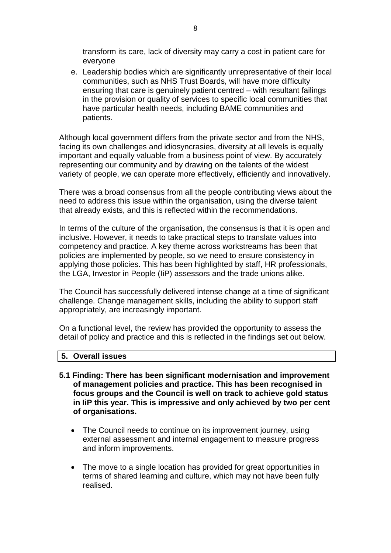transform its care, lack of diversity may carry a cost in patient care for everyone

e. Leadership bodies which are significantly unrepresentative of their local communities, such as NHS Trust Boards, will have more difficulty ensuring that care is genuinely patient centred – with resultant failings in the provision or quality of services to specific local communities that have particular health needs, including BAME communities and patients.

Although local government differs from the private sector and from the NHS, facing its own challenges and idiosyncrasies, diversity at all levels is equally important and equally valuable from a business point of view. By accurately representing our community and by drawing on the talents of the widest variety of people, we can operate more effectively, efficiently and innovatively.

There was a broad consensus from all the people contributing views about the need to address this issue within the organisation, using the diverse talent that already exists, and this is reflected within the recommendations.

In terms of the culture of the organisation, the consensus is that it is open and inclusive. However, it needs to take practical steps to translate values into competency and practice. A key theme across workstreams has been that policies are implemented by people, so we need to ensure consistency in applying those policies. This has been highlighted by staff, HR professionals, the LGA, Investor in People (IiP) assessors and the trade unions alike.

The Council has successfully delivered intense change at a time of significant challenge. Change management skills, including the ability to support staff appropriately, are increasingly important.

On a functional level, the review has provided the opportunity to assess the detail of policy and practice and this is reflected in the findings set out below.

#### **5. Overall issues**

- **5.1 Finding: There has been significant modernisation and improvement of management policies and practice. This has been recognised in focus groups and the Council is well on track to achieve gold status in IiP this year. This is impressive and only achieved by two per cent of organisations.**
	- The Council needs to continue on its improvement journey, using external assessment and internal engagement to measure progress and inform improvements.
	- The move to a single location has provided for great opportunities in terms of shared learning and culture, which may not have been fully realised.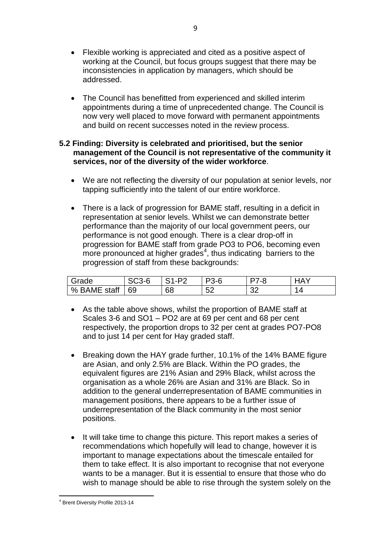- Flexible working is appreciated and cited as a positive aspect of working at the Council, but focus groups suggest that there may be inconsistencies in application by managers, which should be addressed.
- The Council has benefitted from experienced and skilled interim appointments during a time of unprecedented change. The Council is now very well placed to move forward with permanent appointments and build on recent successes noted in the review process.

### **5.2 Finding: Diversity is celebrated and prioritised, but the senior management of the Council is not representative of the community it services, nor of the diversity of the wider workforce**.

- We are not reflecting the diversity of our population at senior levels, nor tapping sufficiently into the talent of our entire workforce.
- There is a lack of progression for BAME staff, resulting in a deficit in representation at senior levels. Whilst we can demonstrate better performance than the majority of our local government peers, our performance is not good enough*.* There is a clear drop-off in progression for BAME staff from grade PO3 to PO6, becoming even more pronounced at higher grades<sup>4</sup>, thus indicating barriers to the progression of staff from these backgrounds:

| rade۔           | `^^<br>$\sim$<br>১৩১-চ | .-P≏ | 3-6      | ้ - ห     | $\mathbf{r}$ |
|-----------------|------------------------|------|----------|-----------|--------------|
| staff<br>% BAME | 69                     | 68   | БQ<br>ັ້ | nr.<br>◡▵ |              |

- As the table above shows, whilst the proportion of BAME staff at Scales 3-6 and SO1 – PO2 are at 69 per cent and 68 per cent respectively, the proportion drops to 32 per cent at grades PO7-PO8 and to just 14 per cent for Hay graded staff.
- Breaking down the HAY grade further, 10.1% of the 14% BAME figure are Asian, and only 2.5% are Black. Within the PO grades, the equivalent figures are 21% Asian and 29% Black, whilst across the organisation as a whole 26% are Asian and 31% are Black. So in addition to the general underrepresentation of BAME communities in management positions, there appears to be a further issue of underrepresentation of the Black community in the most senior positions.
- It will take time to change this picture. This report makes a series of recommendations which hopefully will lead to change, however it is important to manage expectations about the timescale entailed for them to take effect. It is also important to recognise that not everyone wants to be a manager. But it is essential to ensure that those who do wish to manage should be able to rise through the system solely on the

 $\overline{a}$ <sup>4</sup> Brent Diversity Profile 2013-14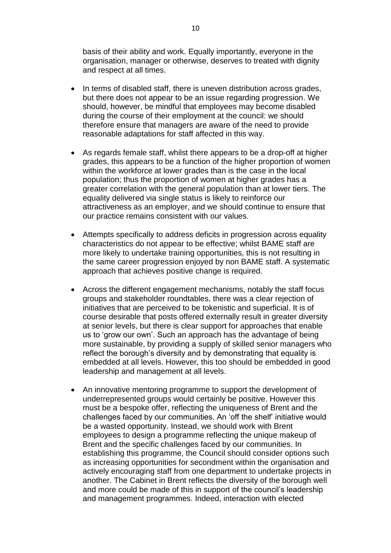basis of their ability and work. Equally importantly, everyone in the organisation, manager or otherwise, deserves to treated with dignity and respect at all times.

- In terms of disabled staff, there is uneven distribution across grades, but there does not appear to be an issue regarding progression. We should, however, be mindful that employees may become disabled during the course of their employment at the council: we should therefore ensure that managers are aware of the need to provide reasonable adaptations for staff affected in this way.
- As regards female staff, whilst there appears to be a drop-off at higher grades, this appears to be a function of the higher proportion of women within the workforce at lower grades than is the case in the local population; thus the proportion of women at higher grades has a greater correlation with the general population than at lower tiers. The equality delivered via single status is likely to reinforce our attractiveness as an employer, and we should continue to ensure that our practice remains consistent with our values.
- Attempts specifically to address deficits in progression across equality characteristics do not appear to be effective; whilst BAME staff are more likely to undertake training opportunities, this is not resulting in the same career progression enjoyed by non BAME staff. A systematic approach that achieves positive change is required.
- Across the different engagement mechanisms, notably the staff focus groups and stakeholder roundtables, there was a clear rejection of initiatives that are perceived to be tokenistic and superficial. It is of course desirable that posts offered externally result in greater diversity at senior levels, but there is clear support for approaches that enable us to 'grow our own'. Such an approach has the advantage of being more sustainable, by providing a supply of skilled senior managers who reflect the borough's diversity and by demonstrating that equality is embedded at all levels. However, this too should be embedded in good leadership and management at all levels.
- An innovative mentoring programme to support the development of underrepresented groups would certainly be positive. However this must be a bespoke offer, reflecting the uniqueness of Brent and the challenges faced by our communities. An 'off the shelf' initiative would be a wasted opportunity. Instead, we should work with Brent employees to design a programme reflecting the unique makeup of Brent and the specific challenges faced by our communities. In establishing this programme, the Council should consider options such as increasing opportunities for secondment within the organisation and actively encouraging staff from one department to undertake projects in another. The Cabinet in Brent reflects the diversity of the borough well and more could be made of this in support of the council's leadership and management programmes. Indeed, interaction with elected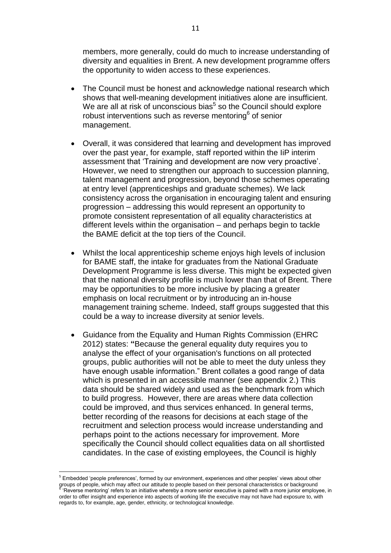members, more generally, could do much to increase understanding of diversity and equalities in Brent. A new development programme offers the opportunity to widen access to these experiences.

- The Council must be honest and acknowledge national research which shows that well-meaning development initiatives alone are insufficient. We are all at risk of unconscious bias<sup>5</sup> so the Council should explore robust interventions such as reverse mentoring<sup>6</sup> of senior management.
- Overall, it was considered that learning and development has improved over the past year, for example, staff reported within the IiP interim assessment that 'Training and development are now very proactive'. However, we need to strengthen our approach to succession planning, talent management and progression, beyond those schemes operating at entry level (apprenticeships and graduate schemes). We lack consistency across the organisation in encouraging talent and ensuring progression – addressing this would represent an opportunity to promote consistent representation of all equality characteristics at different levels within the organisation – and perhaps begin to tackle the BAME deficit at the top tiers of the Council.
- Whilst the local apprenticeship scheme enjoys high levels of inclusion for BAME staff, the intake for graduates from the National Graduate Development Programme is less diverse. This might be expected given that the national diversity profile is much lower than that of Brent. There may be opportunities to be more inclusive by placing a greater emphasis on local recruitment or by introducing an in-house management training scheme. Indeed, staff groups suggested that this could be a way to increase diversity at senior levels.
- Guidance from the Equality and Human Rights Commission (EHRC 2012) states: **"**Because the general equality duty requires you to analyse the effect of your organisation's functions on all protected groups, public authorities will not be able to meet the duty unless they have enough usable information." Brent collates a good range of data which is presented in an accessible manner (see appendix 2.) This data should be shared widely and used as the benchmark from which to build progress. However, there are areas where data collection could be improved, and thus services enhanced. In general terms, better recording of the reasons for decisions at each stage of the recruitment and selection process would increase understanding and perhaps point to the actions necessary for improvement. More specifically the Council should collect equalities data on all shortlisted candidates. In the case of existing employees, the Council is highly

l <sup>5</sup> Embedded 'people preferences', formed by our environment, experiences and other peoples' views about other groups of people, which may affect our attitude to people based on their personal characteristics or background<br><sup>6</sup> 'Poverse mentaries' refers to an initiative whereby a mere sopier executive is peired with a mere junier e 'Reverse mentoring' refers to an initiative whereby a more senior executive is paired with a more junior employee, in order to offer insight and experience into aspects of working life the executive may not have had exposure to, with regards to, for example, age, gender, ethnicity, or technological knowledge.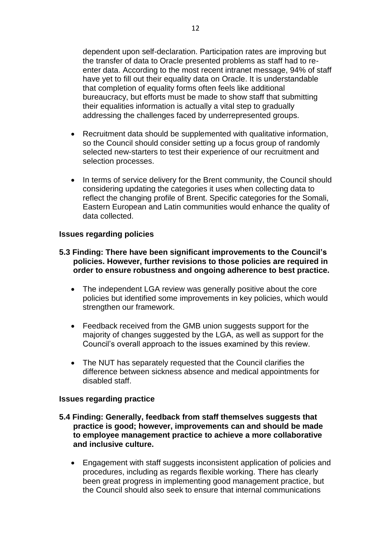dependent upon self-declaration. Participation rates are improving but the transfer of data to Oracle presented problems as staff had to reenter data. According to the most recent intranet message, 94% of staff have yet to fill out their equality data on Oracle. It is understandable that completion of equality forms often feels like additional bureaucracy, but efforts must be made to show staff that submitting their equalities information is actually a vital step to gradually addressing the challenges faced by underrepresented groups.

- Recruitment data should be supplemented with qualitative information, so the Council should consider setting up a focus group of randomly selected new-starters to test their experience of our recruitment and selection processes.
- In terms of service delivery for the Brent community, the Council should considering updating the categories it uses when collecting data to reflect the changing profile of Brent. Specific categories for the Somali, Eastern European and Latin communities would enhance the quality of data collected.

### **Issues regarding policies**

### **5.3 Finding: There have been significant improvements to the Council's policies. However, further revisions to those policies are required in order to ensure robustness and ongoing adherence to best practice.**

- The independent LGA review was generally positive about the core policies but identified some improvements in key policies, which would strengthen our framework.
- Feedback received from the GMB union suggests support for the majority of changes suggested by the LGA, as well as support for the Council's overall approach to the issues examined by this review.
- The NUT has separately requested that the Council clarifies the difference between sickness absence and medical appointments for disabled staff.

#### **Issues regarding practice**

#### **5.4 Finding: Generally, feedback from staff themselves suggests that practice is good; however, improvements can and should be made to employee management practice to achieve a more collaborative and inclusive culture.**

 Engagement with staff suggests inconsistent application of policies and procedures, including as regards flexible working. There has clearly been great progress in implementing good management practice, but the Council should also seek to ensure that internal communications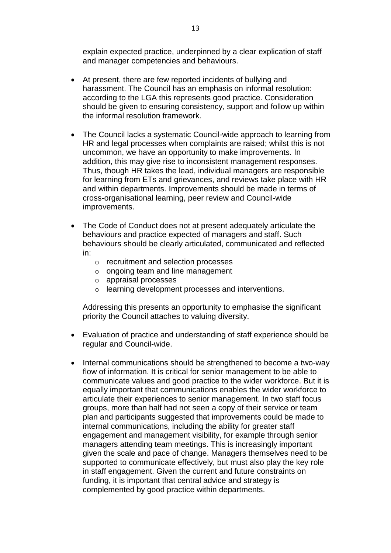explain expected practice, underpinned by a clear explication of staff and manager competencies and behaviours.

- At present, there are few reported incidents of bullying and harassment. The Council has an emphasis on informal resolution: according to the LGA this represents good practice. Consideration should be given to ensuring consistency, support and follow up within the informal resolution framework.
- The Council lacks a systematic Council-wide approach to learning from HR and legal processes when complaints are raised; whilst this is not uncommon, we have an opportunity to make improvements*.* In addition, this may give rise to inconsistent management responses. Thus, though HR takes the lead, individual managers are responsible for learning from ETs and grievances, and reviews take place with HR and within departments. Improvements should be made in terms of cross-organisational learning, peer review and Council-wide improvements.
- The Code of Conduct does not at present adequately articulate the behaviours and practice expected of managers and staff. Such behaviours should be clearly articulated, communicated and reflected in:
	- o recruitment and selection processes
	- o ongoing team and line management
	- o appraisal processes
	- o learning development processes and interventions.

Addressing this presents an opportunity to emphasise the significant priority the Council attaches to valuing diversity.

- Evaluation of practice and understanding of staff experience should be regular and Council-wide.
- Internal communications should be strengthened to become a two-way flow of information. It is critical for senior management to be able to communicate values and good practice to the wider workforce. But it is equally important that communications enables the wider workforce to articulate their experiences to senior management. In two staff focus groups, more than half had not seen a copy of their service or team plan and participants suggested that improvements could be made to internal communications, including the ability for greater staff engagement and management visibility, for example through senior managers attending team meetings. This is increasingly important given the scale and pace of change. Managers themselves need to be supported to communicate effectively, but must also play the key role in staff engagement. Given the current and future constraints on funding, it is important that central advice and strategy is complemented by good practice within departments.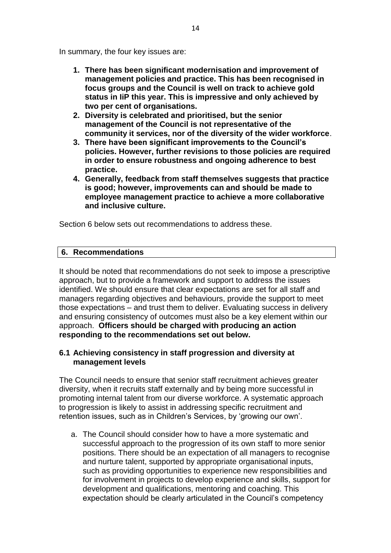In summary, the four key issues are:

- **1. There has been significant modernisation and improvement of management policies and practice. This has been recognised in focus groups and the Council is well on track to achieve gold status in IiP this year. This is impressive and only achieved by two per cent of organisations.**
- **2. Diversity is celebrated and prioritised, but the senior management of the Council is not representative of the community it services, nor of the diversity of the wider workforce**.
- **3. There have been significant improvements to the Council's policies. However, further revisions to those policies are required in order to ensure robustness and ongoing adherence to best practice.**
- **4. Generally, feedback from staff themselves suggests that practice is good; however, improvements can and should be made to employee management practice to achieve a more collaborative and inclusive culture.**

Section 6 below sets out recommendations to address these.

## **6. Recommendations**

It should be noted that recommendations do not seek to impose a prescriptive approach, but to provide a framework and support to address the issues identified. We should ensure that clear expectations are set for all staff and managers regarding objectives and behaviours, provide the support to meet those expectations – and trust them to deliver. Evaluating success in delivery and ensuring consistency of outcomes must also be a key element within our approach. **Officers should be charged with producing an action responding to the recommendations set out below.** 

## **6.1 Achieving consistency in staff progression and diversity at management levels**

The Council needs to ensure that senior staff recruitment achieves greater diversity, when it recruits staff externally and by being more successful in promoting internal talent from our diverse workforce. A systematic approach to progression is likely to assist in addressing specific recruitment and retention issues, such as in Children's Services, by 'growing our own'.

a. The Council should consider how to have a more systematic and successful approach to the progression of its own staff to more senior positions. There should be an expectation of all managers to recognise and nurture talent, supported by appropriate organisational inputs, such as providing opportunities to experience new responsibilities and for involvement in projects to develop experience and skills, support for development and qualifications, mentoring and coaching. This expectation should be clearly articulated in the Council's competency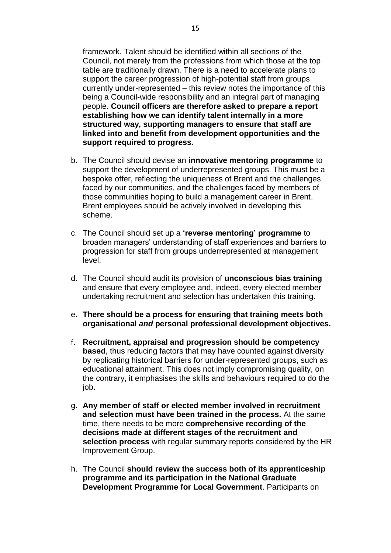framework. Talent should be identified within all sections of the Council, not merely from the professions from which those at the top table are traditionally drawn. There is a need to accelerate plans to support the career progression of high-potential staff from groups currently under-represented – this review notes the importance of this being a Council-wide responsibility and an integral part of managing people. **Council officers are therefore asked to prepare a report establishing how we can identify talent internally in a more structured way, supporting managers to ensure that staff are linked into and benefit from development opportunities and the support required to progress.**

- b. The Council should devise an **innovative mentoring programme** to support the development of underrepresented groups. This must be a bespoke offer, reflecting the uniqueness of Brent and the challenges faced by our communities, and the challenges faced by members of those communities hoping to build a management career in Brent. Brent employees should be actively involved in developing this scheme.
- c. The Council should set up a **'reverse mentoring' programme** to broaden managers' understanding of staff experiences and barriers to progression for staff from groups underrepresented at management level.
- d. The Council should audit its provision of **unconscious bias training** and ensure that every employee and, indeed, every elected member undertaking recruitment and selection has undertaken this training.
- e. **There should be a process for ensuring that training meets both organisational** *and* **personal professional development objectives.**
- f. **Recruitment, appraisal and progression should be competency based**, thus reducing factors that may have counted against diversity by replicating historical barriers for under-represented groups, such as educational attainment. This does not imply compromising quality, on the contrary, it emphasises the skills and behaviours required to do the job.
- g. **Any member of staff or elected member involved in recruitment and selection must have been trained in the process.** At the same time, there needs to be more **comprehensive recording of the decisions made at different stages of the recruitment and selection process** with regular summary reports considered by the HR Improvement Group.
- h. The Council **should review the success both of its apprenticeship programme and its participation in the National Graduate Development Programme for Local Government**. Participants on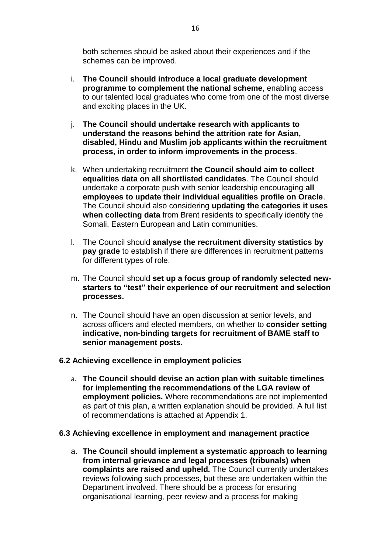both schemes should be asked about their experiences and if the schemes can be improved.

- i. **The Council should introduce a local graduate development programme to complement the national scheme**, enabling access to our talented local graduates who come from one of the most diverse and exciting places in the UK.
- j. **The Council should undertake research with applicants to understand the reasons behind the attrition rate for Asian, disabled, Hindu and Muslim job applicants within the recruitment process, in order to inform improvements in the process**.
- k. When undertaking recruitment **the Council should aim to collect equalities data on all shortlisted candidates**. The Council should undertake a corporate push with senior leadership encouraging **all employees to update their individual equalities profile on Oracle**. The Council should also considering **updating the categories it uses when collecting data** from Brent residents to specifically identify the Somali, Eastern European and Latin communities.
- l. The Council should **analyse the recruitment diversity statistics by pay grade** to establish if there are differences in recruitment patterns for different types of role.
- m. The Council should **set up a focus group of randomly selected newstarters to "test" their experience of our recruitment and selection processes.**
- n. The Council should have an open discussion at senior levels, and across officers and elected members, on whether to **consider setting indicative, non-binding targets for recruitment of BAME staff to senior management posts.**

## **6.2 Achieving excellence in employment policies**

a. **The Council should devise an action plan with suitable timelines for implementing the recommendations of the LGA review of employment policies.** Where recommendations are not implemented as part of this plan, a written explanation should be provided. A full list of recommendations is attached at Appendix 1.

#### **6.3 Achieving excellence in employment and management practice**

a. **The Council should implement a systematic approach to learning from internal grievance and legal processes (tribunals) when complaints are raised and upheld***.* The Council currently undertakes reviews following such processes, but these are undertaken within the Department involved. There should be a process for ensuring organisational learning, peer review and a process for making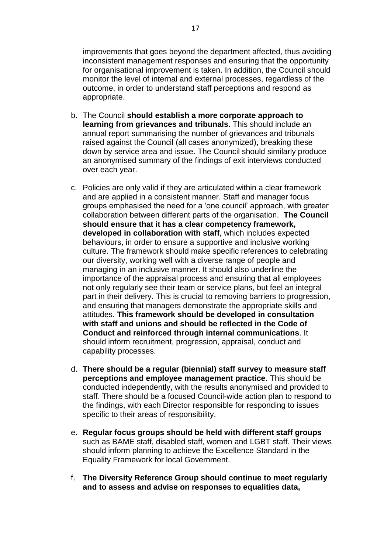improvements that goes beyond the department affected, thus avoiding inconsistent management responses and ensuring that the opportunity for organisational improvement is taken. In addition, the Council should monitor the level of internal and external processes, regardless of the outcome, in order to understand staff perceptions and respond as appropriate.

- b. The Council **should establish a more corporate approach to learning from grievances and tribunals**. This should include an annual report summarising the number of grievances and tribunals raised against the Council (all cases anonymized), breaking these down by service area and issue. The Council should similarly produce an anonymised summary of the findings of exit interviews conducted over each year.
- c. Policies are only valid if they are articulated within a clear framework and are applied in a consistent manner. Staff and manager focus groups emphasised the need for a 'one council' approach, with greater collaboration between different parts of the organisation. **The Council should ensure that it has a clear competency framework, developed in collaboration with staff**, which includes expected behaviours, in order to ensure a supportive and inclusive working culture. The framework should make specific references to celebrating our diversity, working well with a diverse range of people and managing in an inclusive manner. It should also underline the importance of the appraisal process and ensuring that all employees not only regularly see their team or service plans, but feel an integral part in their delivery. This is crucial to removing barriers to progression, and ensuring that managers demonstrate the appropriate skills and attitudes. **This framework should be developed in consultation with staff and unions and should be reflected in the Code of Conduct and reinforced through internal communications**. It should inform recruitment, progression, appraisal, conduct and capability processes.
- d. **There should be a regular (biennial) staff survey to measure staff perceptions and employee management practice**. This should be conducted independently, with the results anonymised and provided to staff. There should be a focused Council-wide action plan to respond to the findings, with each Director responsible for responding to issues specific to their areas of responsibility.
- e. **Regular focus groups should be held with different staff groups** such as BAME staff, disabled staff, women and LGBT staff. Their views should inform planning to achieve the Excellence Standard in the Equality Framework for local Government.
- f. **The Diversity Reference Group should continue to meet regularly and to assess and advise on responses to equalities data,**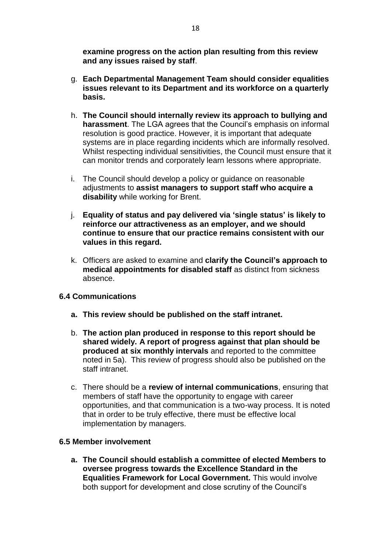**examine progress on the action plan resulting from this review and any issues raised by staff**.

- g. **Each Departmental Management Team should consider equalities issues relevant to its Department and its workforce on a quarterly basis.**
- h. **The Council should internally review its approach to bullying and harassment**. The LGA agrees that the Council's emphasis on informal resolution is good practice. However, it is important that adequate systems are in place regarding incidents which are informally resolved. Whilst respecting individual sensitivities, the Council must ensure that it can monitor trends and corporately learn lessons where appropriate.
- i. The Council should develop a policy or guidance on reasonable adjustments to **assist managers to support staff who acquire a disability** while working for Brent.
- j. **Equality of status and pay delivered via 'single status' is likely to reinforce our attractiveness as an employer, and we should continue to ensure that our practice remains consistent with our values in this regard.**
- k. Officers are asked to examine and **clarify the Council's approach to medical appointments for disabled staff** as distinct from sickness absence.

## **6.4 Communications**

- **a. This review should be published on the staff intranet.**
- b. **The action plan produced in response to this report should be shared widely. A report of progress against that plan should be produced at six monthly intervals** and reported to the committee noted in 5a). This review of progress should also be published on the staff intranet.
- c. There should be a **review of internal communications**, ensuring that members of staff have the opportunity to engage with career opportunities, and that communication is a two-way process. It is noted that in order to be truly effective, there must be effective local implementation by managers.

## **6.5 Member involvement**

**a. The Council should establish a committee of elected Members to oversee progress towards the Excellence Standard in the Equalities Framework for Local Government.** This would involve both support for development and close scrutiny of the Council's